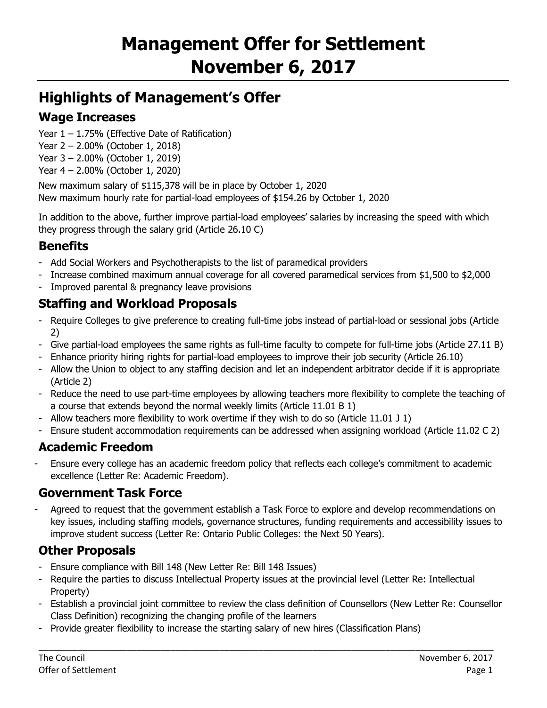# **Highlights of Management's Offer**

# **Wage Increases**

- Year 1 1.75% (Effective Date of Ratification)
- Year 2 2.00% (October 1, 2018)
- Year 3 2.00% (October 1, 2019)
- Year 4 2.00% (October 1, 2020)

New maximum salary of \$115,378 will be in place by October 1, 2020 New maximum hourly rate for partial-load employees of \$154.26 by October 1, 2020

In addition to the above, further improve partial-load employees' salaries by increasing the speed with which they progress through the salary grid (Article 26.10 C)

# **Benefits**

- Add Social Workers and Psychotherapists to the list of paramedical providers
- Increase combined maximum annual coverage for all covered paramedical services from \$1,500 to \$2,000
- Improved parental & pregnancy leave provisions

# **Staffing and Workload Proposals**

- Require Colleges to give preference to creating full-time jobs instead of partial-load or sessional jobs (Article 2)
- Give partial-load employees the same rights as full-time faculty to compete for full-time jobs (Article 27.11 B)
- Enhance priority hiring rights for partial-load employees to improve their job security (Article 26.10)
- Allow the Union to object to any staffing decision and let an independent arbitrator decide if it is appropriate (Article 2)
- Reduce the need to use part-time employees by allowing teachers more flexibility to complete the teaching of a course that extends beyond the normal weekly limits (Article 11.01 B 1)
- Allow teachers more flexibility to work overtime if they wish to do so (Article 11.01 J 1)
- Ensure student accommodation requirements can be addressed when assigning workload (Article 11.02 C 2)

# **Academic Freedom**

- Ensure every college has an academic freedom policy that reflects each college's commitment to academic excellence (Letter Re: Academic Freedom).

# **Government Task Force**

Agreed to request that the government establish a Task Force to explore and develop recommendations on key issues, including staffing models, governance structures, funding requirements and accessibility issues to improve student success (Letter Re: Ontario Public Colleges: the Next 50 Years).

# **Other Proposals**

- Ensure compliance with Bill 148 (New Letter Re: Bill 148 Issues)
- Require the parties to discuss Intellectual Property issues at the provincial level (Letter Re: Intellectual Property)
- Establish a provincial joint committee to review the class definition of Counsellors (New Letter Re: Counsellor Class Definition) recognizing the changing profile of the learners

\_\_\_\_\_\_\_\_\_\_\_\_\_\_\_\_\_\_\_\_\_\_\_\_\_\_\_\_\_\_\_\_\_\_\_\_\_\_\_\_\_\_\_\_\_\_\_\_\_\_\_\_\_\_\_\_\_\_\_\_\_\_\_\_\_\_\_\_\_\_\_\_\_\_\_\_\_\_\_\_\_\_\_\_\_\_\_\_\_\_\_\_\_

- Provide greater flexibility to increase the starting salary of new hires (Classification Plans)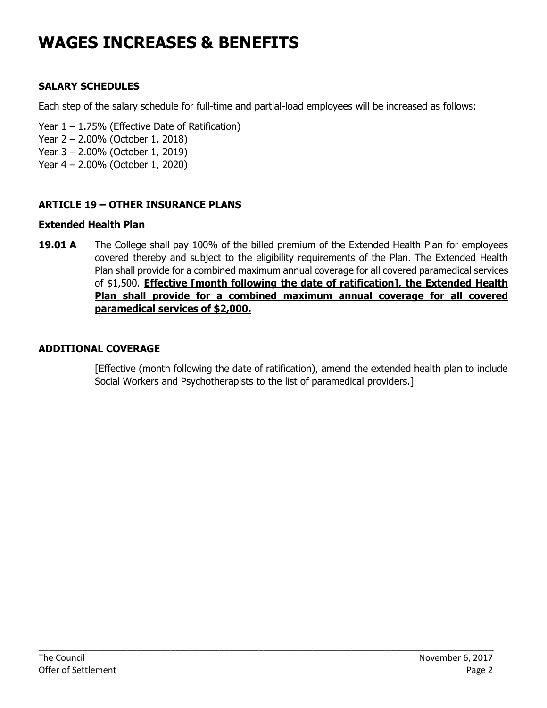# **WAGES INCREASES & BENEFITS**

# **SALARY SCHEDULES**

Each step of the salary schedule for full-time and partial-load employees will be increased as follows:

- Year  $1 1.75\%$  (Effective Date of Ratification)
- Year 2 2.00% (October 1, 2018)
- Year 3 2.00% (October 1, 2019)
- Year 4 2.00% (October 1, 2020)

## **ARTICLE 19 – OTHER INSURANCE PLANS**

### **Extended Health Plan**

**19.01 A** The College shall pay 100% of the billed premium of the Extended Health Plan for employees covered thereby and subject to the eligibility requirements of the Plan. The Extended Health Plan shall provide for a combined maximum annual coverage for all covered paramedical services of \$1,500. **Effective [month following the date of ratification], the Extended Health Plan shall provide for a combined maximum annual coverage for all covered paramedical services of \$2,000.**

\_\_\_\_\_\_\_\_\_\_\_\_\_\_\_\_\_\_\_\_\_\_\_\_\_\_\_\_\_\_\_\_\_\_\_\_\_\_\_\_\_\_\_\_\_\_\_\_\_\_\_\_\_\_\_\_\_\_\_\_\_\_\_\_\_\_\_\_\_\_\_\_\_\_\_\_\_\_\_\_\_\_\_\_\_\_\_\_\_\_\_\_\_

### **ADDITIONAL COVERAGE**

[Effective (month following the date of ratification), amend the extended health plan to include Social Workers and Psychotherapists to the list of paramedical providers.]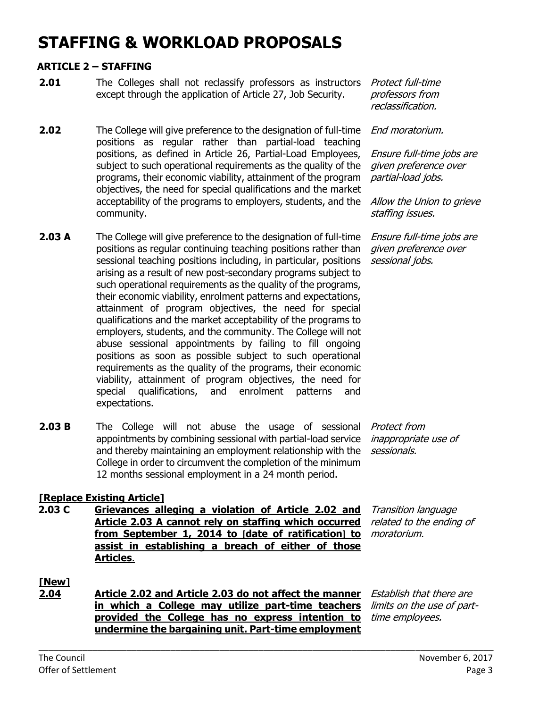# **STAFFING & WORKLOAD PROPOSALS**

#### **ARTICLE 2 – STAFFING**

- **2.01** The Colleges shall not reclassify professors as instructors except through the application of Article 27, Job Security.
- **2.02** The College will give preference to the designation of full-time *End moratorium.* positions as regular rather than partial-load teaching positions, as defined in Article 26, Partial-Load Employees, subject to such operational requirements as the quality of the programs, their economic viability, attainment of the program objectives, the need for special qualifications and the market acceptability of the programs to employers, students, and the community.
- **2.03 A** The College will give preference to the designation of full-time positions as regular continuing teaching positions rather than sessional teaching positions including, in particular, positions arising as a result of new post-secondary programs subject to such operational requirements as the quality of the programs, their economic viability, enrolment patterns and expectations, attainment of program objectives, the need for special qualifications and the market acceptability of the programs to employers, students, and the community. The College will not abuse sessional appointments by failing to fill ongoing positions as soon as possible subject to such operational requirements as the quality of the programs, their economic viability, attainment of program objectives, the need for special qualifications, and enrolment patterns and expectations.
- **2.03 B** The College will not abuse the usage of sessional *Protect from* appointments by combining sessional with partial-load service and thereby maintaining an employment relationship with the College in order to circumvent the completion of the minimum 12 months sessional employment in a 24 month period.

Protect full-time professors from reclassification.

Ensure full-time jobs are given preference over partial-load jobs.

Allow the Union to grieve staffing issues.

Ensure full-time jobs are given preference over sessional jobs.

inappropriate use of sessionals.

#### **[Replace Existing Article]**

**2.03 C Grievances alleging a violation of Article 2.02 and Article 2.03 A cannot rely on staffing which occurred from September 1, 2014 to [date of ratification] to**  moratorium. **assist in establishing a breach of either of those Articles**.

Transition language related to the ending of

# **[New]**

**2.04 Article 2.02 and Article 2.03 do not affect the manner in which a College may utilize part-time teachers provided the College has no express intention to undermine the bargaining unit. Part-time employment** 

\_\_\_\_\_\_\_\_\_\_\_\_\_\_\_\_\_\_\_\_\_\_\_\_\_\_\_\_\_\_\_\_\_\_\_\_\_\_\_\_\_\_\_\_\_\_\_\_\_\_\_\_\_\_\_\_\_\_\_\_\_\_\_\_\_\_\_\_\_\_\_\_\_\_\_\_\_\_\_\_\_\_\_\_\_\_\_\_\_\_\_\_\_

Establish that there are limits on the use of parttime employees.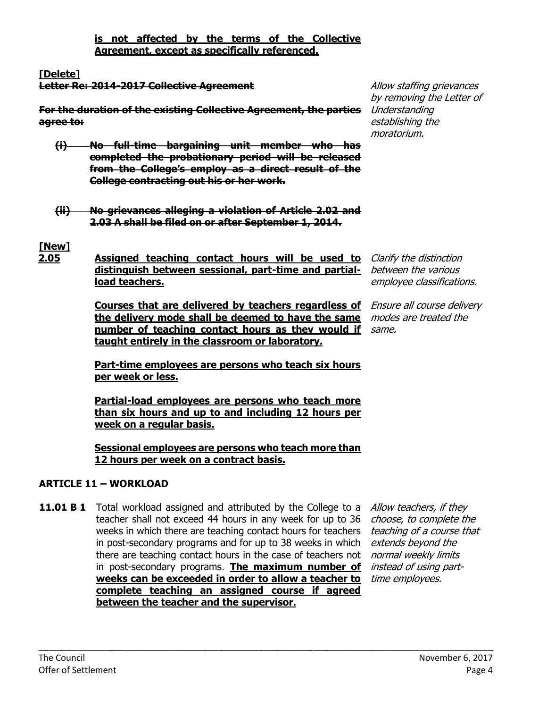**is not affected by the terms of the Collective Agreement, except as specifically referenced.**

**[Delete]**

**Letter Re: 2014-2017 Collective Agreement**

**For the duration of the existing Collective Agreement, the parties agree to:**

- **(i) No full-time bargaining unit member who has completed the probationary period will be released from the College's employ as a direct result of the College contracting out his or her work.**
- **(ii) No grievances alleging a violation of Article 2.02 and 2.03 A shall be filed on or after September 1, 2014.**

# **[New]**

**2.05 Assigned teaching contact hours will be used to**  Clarify the distinction **distinguish between sessional, part-time and partial-**between the various **load teachers.**

> **Courses that are delivered by teachers regardless of**  Ensure all course delivery **the delivery mode shall be deemed to have the same**  modes are treated the **number of teaching contact hours as they would if**  same. **taught entirely in the classroom or laboratory.**

employee classifications.

Allow staffing grievances by removing the Letter of

Understanding establishing the moratorium.

**Part-time employees are persons who teach six hours per week or less.**

**Partial-load employees are persons who teach more than six hours and up to and including 12 hours per week on a regular basis.**

**Sessional employees are persons who teach more than 12 hours per week on a contract basis.**

\_\_\_\_\_\_\_\_\_\_\_\_\_\_\_\_\_\_\_\_\_\_\_\_\_\_\_\_\_\_\_\_\_\_\_\_\_\_\_\_\_\_\_\_\_\_\_\_\_\_\_\_\_\_\_\_\_\_\_\_\_\_\_\_\_\_\_\_\_\_\_\_\_\_\_\_\_\_\_\_\_\_\_\_\_\_\_\_\_\_\_\_\_

# **ARTICLE 11 – WORKLOAD**

**11.01 B 1** Total workload assigned and attributed by the College to a teacher shall not exceed 44 hours in any week for up to 36 weeks in which there are teaching contact hours for teachers in post-secondary programs and for up to 38 weeks in which there are teaching contact hours in the case of teachers not *normal weekly limits* in post-secondary programs. **The maximum number of**  instead of using part**weeks can be exceeded in order to allow a teacher to**  time employees.**complete teaching an assigned course if agreed between the teacher and the supervisor.**

Allow teachers, if they choose, to complete the teaching of a course that extends beyond the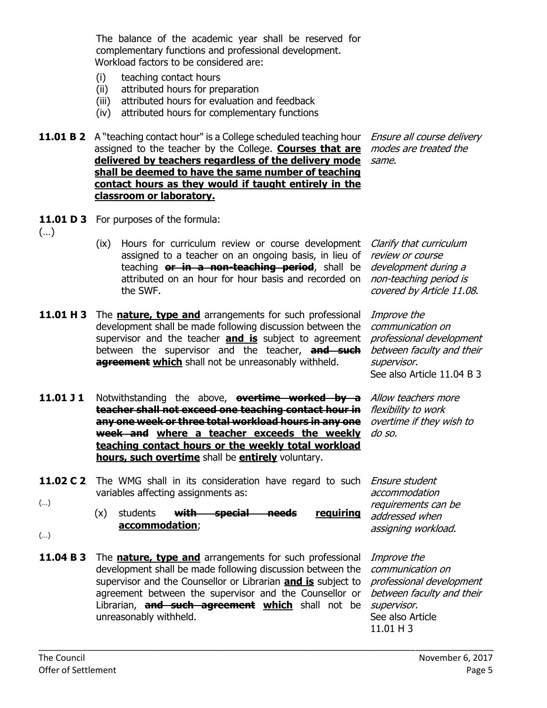The balance of the academic year shall be reserved for complementary functions and professional development. Workload factors to be considered are:

- (i) teaching contact hours
- (ii) attributed hours for preparation
- (iii) attributed hours for evaluation and feedback
- (iv) attributed hours for complementary functions
- **11.01 B 2** A "teaching contact hour" is a College scheduled teaching hour *Ensure all course delivery* assigned to the teacher by the College. **Courses that are**  modes are treated the **delivered by teachers regardless of the delivery mode**  same. **shall be deemed to have the same number of teaching contact hours as they would if taught entirely in the classroom or laboratory.**

review or course development during a non-teaching period is covered by Article 11.08.

Improve the communication on

supervisor.

professional development between faculty and their

See also Article 11.04 B 3

overtime if they wish to

- **11.01 D 3** For purposes of the formula:
- (…)
- (ix) Hours for curriculum review or course development *Clarify that curriculum* assigned to a teacher on an ongoing basis, in lieu of teaching **or in a non-teaching period**, shall be attributed on an hour for hour basis and recorded on the SWF.
- **11.01 H 3** The **nature, type and** arrangements for such professional development shall be made following discussion between the supervisor and the teacher **and is** subject to agreement between the supervisor and the teacher, **and such agreement which** shall not be unreasonably withheld.
- **11.01 J 1** Notwithstanding the above, **overtime worked by a** Allow teachers more **teacher shall not exceed one teaching contact hour in**  flexibility to work **any one week or three total workload hours in any one week and where a teacher exceeds the weekly**  do so. **teaching contact hours or the weekly total workload hours, such overtime** shall be **entirely** voluntary.
- **11.02 C 2** The WMG shall in its consideration have regard to such *Ensure student* variables affecting assignments as: (…)
	- (x) students **with special needs requiring accommodation**;
- accommodation requirements can be addressed when assigning workload.

professional development

Improve the communication on

supervisor. See also Article 11.01 H 3

- (…)
- **11.04 B 3** The **nature, type and** arrangements for such professional development shall be made following discussion between the supervisor and the Counsellor or Librarian **and is** subject to agreement between the supervisor and the Counsellor or *between faculty and their* Librarian, **and such agreement which** shall not be unreasonably withheld.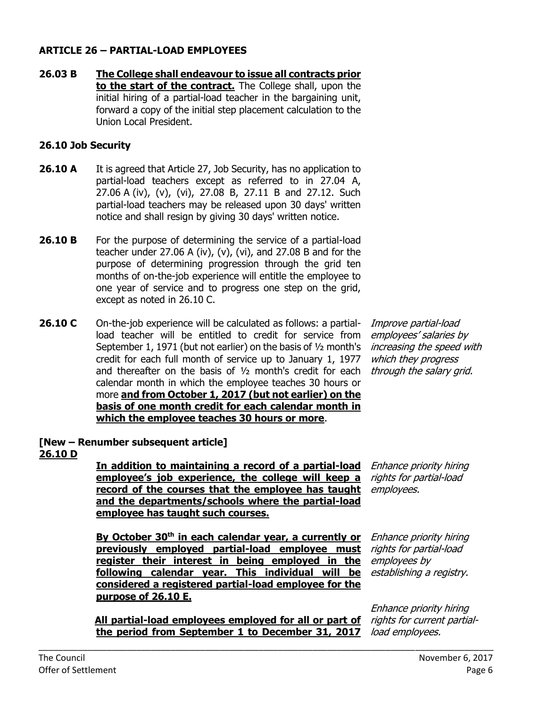#### **ARTICLE 26 – PARTIAL-LOAD EMPLOYEES**

**26.03 B The College shall endeavour to issue all contracts prior to the start of the contract.** The College shall, upon the initial hiring of a partial-load teacher in the bargaining unit, forward a copy of the initial step placement calculation to the Union Local President.

#### **26.10 Job Security**

- **26.10 A** It is agreed that Article 27, Job Security, has no application to partial-load teachers except as referred to in 27.04 A, 27.06 A (iv), (v), (vi), 27.08 B, 27.11 B and 27.12. Such partial-load teachers may be released upon 30 days' written notice and shall resign by giving 30 days' written notice.
- **26.10 B** For the purpose of determining the service of a partial-load teacher under 27.06 A (iv), (v), (vi), and 27.08 B and for the purpose of determining progression through the grid ten months of on-the-job experience will entitle the employee to one year of service and to progress one step on the grid, except as noted in 26.10 C.
- **26.10 C** On-the-job experience will be calculated as follows: a partialload teacher will be entitled to credit for service from September 1, 1971 (but not earlier) on the basis of ½ month's credit for each full month of service up to January 1, 1977 and thereafter on the basis of ½ month's credit for each calendar month in which the employee teaches 30 hours or more **and from October 1, 2017 (but not earlier) on the basis of one month credit for each calendar month in which the employee teaches 30 hours or more**.

Improve partial-load employees' salaries by increasing the speed with which they progress through the salary grid.

#### **[New – Renumber subsequent article] 26.10 D**

**In addition to maintaining a record of a partial-load**  Enhance priority hiring **employee's job experience, the college will keep a record of the courses that the employee has taught and the departments/schools where the partial-load employee has taught such courses.** 

rights for partial-load employees.

**By October 30 th in each calendar year, a currently or previously employed partial-load employee must register their interest in being employed in the following calendar year. This individual will be considered a registered partial-load employee for the purpose of 26.10 E.**

**All partial-load employees employed for all or part of**  rights for current partial**the period from September 1 to December 31, 2017** 

\_\_\_\_\_\_\_\_\_\_\_\_\_\_\_\_\_\_\_\_\_\_\_\_\_\_\_\_\_\_\_\_\_\_\_\_\_\_\_\_\_\_\_\_\_\_\_\_\_\_\_\_\_\_\_\_\_\_\_\_\_\_\_\_\_\_\_\_\_\_\_\_\_\_\_\_\_\_\_\_\_\_\_\_\_\_\_\_\_\_\_\_\_

Enhance priority hiring rights for partial-load employees by establishing a registry.

Enhance priority hiring load employees.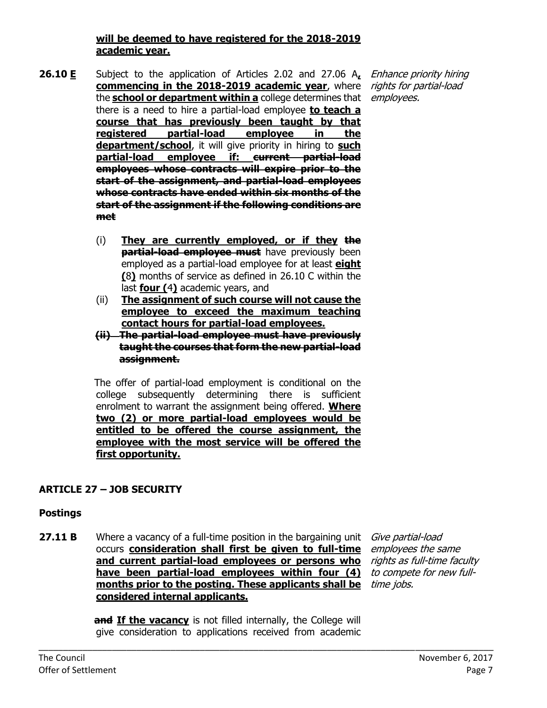#### **will be deemed to have registered for the 2018-2019 academic year.**

- **26.10 E** Subject to the application of Articles 2.02 and 27.06 A, *Enhance priority hiring* **commencing in the 2018-2019 academic year**, where rights for partial-load the **<u>school or department within a</u>** college determines that employees. there is a need to hire a partial-load employee **to teach a course that has previously been taught by that registered partial-load employee in the department/school**, it will give priority in hiring to **such partial-load employee if: current partial-load employees whose contracts will expire prior to the start of the assignment, and partial-load employees whose contracts have ended within six months of the start of the assignment if the following conditions are met**
	- (i) **They are currently employed, or if they the partial-load employee must** have previously been employed as a partial-load employee for at least **eight (**8**)** months of service as defined in 26.10 C within the last **four (**4**)** academic years, and
	- (ii) **The assignment of such course will not cause the employee to exceed the maximum teaching contact hours for partial-load employees.**
	- **(ii) The partial-load employee must have previously taught the courses that form the new partial-load assignment.**

The offer of partial-load employment is conditional on the college subsequently determining there is sufficient enrolment to warrant the assignment being offered. **Where two (2) or more partial-load employees would be entitled to be offered the course assignment, the employee with the most service will be offered the first opportunity.**

# **ARTICLE 27 – JOB SECURITY**

### **Postings**

**27.11 B** Where a vacancy of a full-time position in the bargaining unit *Give partial-load* occurs **consideration shall first be given to full-time and current partial-load employees or persons who**  rights as full-time faculty **have been partial-load employees within four (4)**  to compete for new full**months prior to the posting. These applicants shall be**  time jobs.**considered internal applicants.**

employees the same

**and If the vacancy** is not filled internally, the College will give consideration to applications received from academic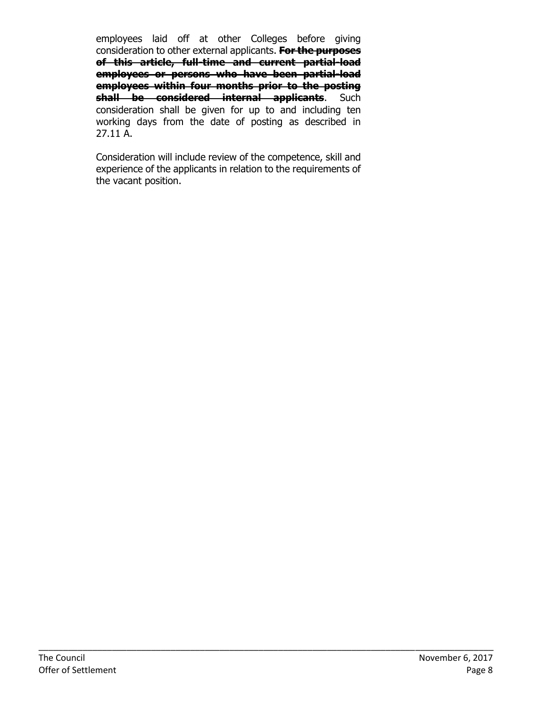employees laid off at other Colleges before giving consideration to other external applicants. **For the purposes of this article, full-time and current partial-load employees or persons who have been partial-load employees within four months prior to the posting shall be considered internal applicants**. Such consideration shall be given for up to and including ten working days from the date of posting as described in 27.11 A.

Consideration will include review of the competence, skill and experience of the applicants in relation to the requirements of the vacant position.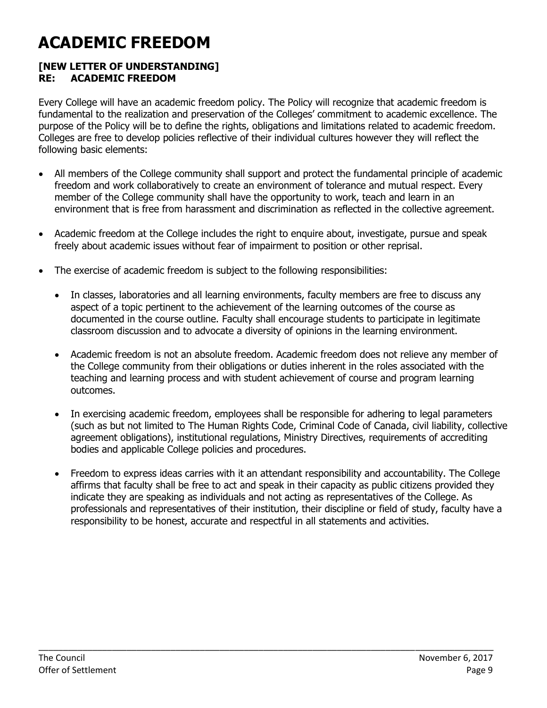# **ACADEMIC FREEDOM**

### **[NEW LETTER OF UNDERSTANDING] RE: ACADEMIC FREEDOM**

Every College will have an academic freedom policy. The Policy will recognize that academic freedom is fundamental to the realization and preservation of the Colleges' commitment to academic excellence. The purpose of the Policy will be to define the rights, obligations and limitations related to academic freedom. Colleges are free to develop policies reflective of their individual cultures however they will reflect the following basic elements:

- All members of the College community shall support and protect the fundamental principle of academic freedom and work collaboratively to create an environment of tolerance and mutual respect. Every member of the College community shall have the opportunity to work, teach and learn in an environment that is free from harassment and discrimination as reflected in the collective agreement.
- Academic freedom at the College includes the right to enquire about, investigate, pursue and speak freely about academic issues without fear of impairment to position or other reprisal.
- The exercise of academic freedom is subject to the following responsibilities:
	- In classes, laboratories and all learning environments, faculty members are free to discuss any aspect of a topic pertinent to the achievement of the learning outcomes of the course as documented in the course outline. Faculty shall encourage students to participate in legitimate classroom discussion and to advocate a diversity of opinions in the learning environment.
	- Academic freedom is not an absolute freedom. Academic freedom does not relieve any member of the College community from their obligations or duties inherent in the roles associated with the teaching and learning process and with student achievement of course and program learning outcomes.
	- In exercising academic freedom, employees shall be responsible for adhering to legal parameters (such as but not limited to The Human Rights Code, Criminal Code of Canada, civil liability, collective agreement obligations), institutional regulations, Ministry Directives, requirements of accrediting bodies and applicable College policies and procedures.
	- Freedom to express ideas carries with it an attendant responsibility and accountability. The College affirms that faculty shall be free to act and speak in their capacity as public citizens provided they indicate they are speaking as individuals and not acting as representatives of the College. As professionals and representatives of their institution, their discipline or field of study, faculty have a responsibility to be honest, accurate and respectful in all statements and activities.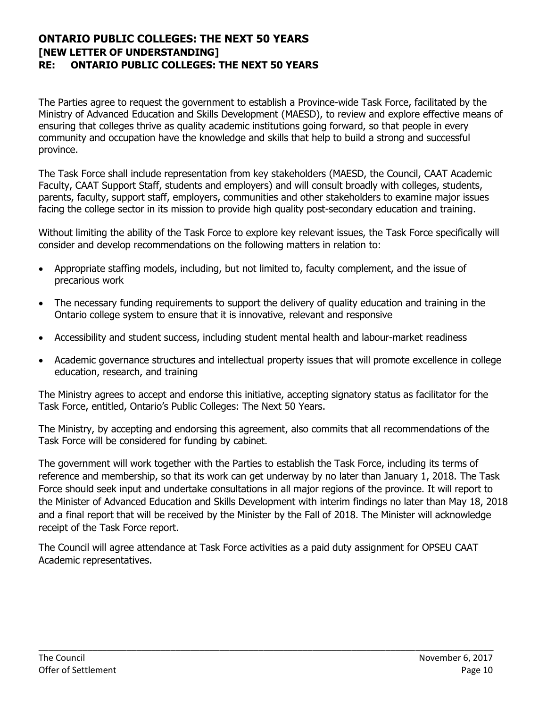#### **ONTARIO PUBLIC COLLEGES: THE NEXT 50 YEARS [NEW LETTER OF UNDERSTANDING] RE: ONTARIO PUBLIC COLLEGES: THE NEXT 50 YEARS**

The Parties agree to request the government to establish a Province-wide Task Force, facilitated by the Ministry of Advanced Education and Skills Development (MAESD), to review and explore effective means of ensuring that colleges thrive as quality academic institutions going forward, so that people in every community and occupation have the knowledge and skills that help to build a strong and successful province.

The Task Force shall include representation from key stakeholders (MAESD, the Council, CAAT Academic Faculty, CAAT Support Staff, students and employers) and will consult broadly with colleges, students, parents, faculty, support staff, employers, communities and other stakeholders to examine major issues facing the college sector in its mission to provide high quality post-secondary education and training.

Without limiting the ability of the Task Force to explore key relevant issues, the Task Force specifically will consider and develop recommendations on the following matters in relation to:

- Appropriate staffing models, including, but not limited to, faculty complement, and the issue of precarious work
- The necessary funding requirements to support the delivery of quality education and training in the Ontario college system to ensure that it is innovative, relevant and responsive
- Accessibility and student success, including student mental health and labour-market readiness
- Academic governance structures and intellectual property issues that will promote excellence in college education, research, and training

The Ministry agrees to accept and endorse this initiative, accepting signatory status as facilitator for the Task Force, entitled, Ontario's Public Colleges: The Next 50 Years.

The Ministry, by accepting and endorsing this agreement, also commits that all recommendations of the Task Force will be considered for funding by cabinet.

The government will work together with the Parties to establish the Task Force, including its terms of reference and membership, so that its work can get underway by no later than January 1, 2018. The Task Force should seek input and undertake consultations in all major regions of the province. It will report to the Minister of Advanced Education and Skills Development with interim findings no later than May 18, 2018 and a final report that will be received by the Minister by the Fall of 2018. The Minister will acknowledge receipt of the Task Force report.

The Council will agree attendance at Task Force activities as a paid duty assignment for OPSEU CAAT Academic representatives.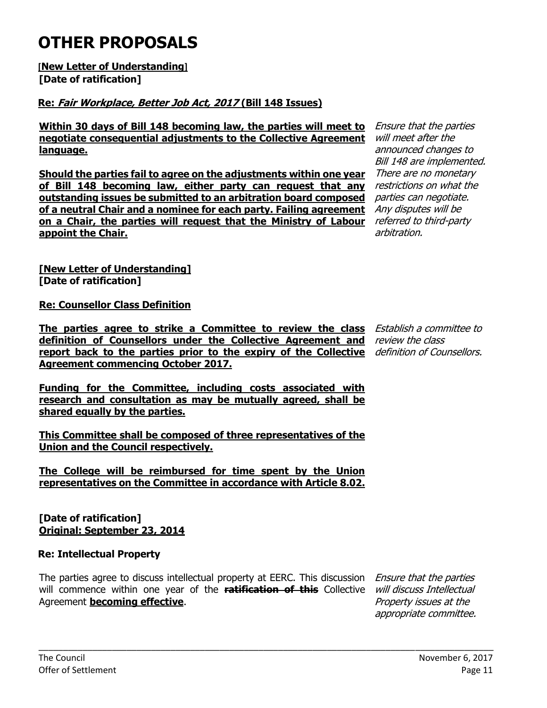# **OTHER PROPOSALS**

**[New Letter of Understanding] [Date of ratification]**

# **Re: Fair Workplace, Better Job Act, 2017 (Bill 148 Issues)**

**Within 30 days of Bill 148 becoming law, the parties will meet to negotiate consequential adjustments to the Collective Agreement language.**

**Should the parties fail to agree on the adjustments within one year of Bill 148 becoming law, either party can request that any outstanding issues be submitted to an arbitration board composed of a neutral Chair and a nominee for each party. Failing agreement**  Any disputes will be **on a Chair, the parties will request that the Ministry of Labour**  referred to third-party **appoint the Chair.**

Ensure that the parties will meet after the announced changes to Bill 148 are implemented. There are no monetary restrictions on what the parties can negotiate. arbitration.

**[New Letter of Understanding] [Date of ratification]**

**Re: Counsellor Class Definition**

**The parties agree to strike a Committee to review the class**  Establish a committee to **definition of Counsellors under the Collective Agreement and**  review the class **report back to the parties prior to the expiry of the Collective**  definition of Counsellors. **Agreement commencing October 2017.**

**Funding for the Committee, including costs associated with research and consultation as may be mutually agreed, shall be shared equally by the parties.**

**This Committee shall be composed of three representatives of the Union and the Council respectively.** 

**The College will be reimbursed for time spent by the Union representatives on the Committee in accordance with Article 8.02.**

**[Date of ratification] Original: September 23, 2014**

# **Re: Intellectual Property**

The parties agree to discuss intellectual property at EERC. This discussion Ensure that the parties will commence within one year of the ratification of this Collective *will discuss Intellectual* Agreement **becoming effective**.

\_\_\_\_\_\_\_\_\_\_\_\_\_\_\_\_\_\_\_\_\_\_\_\_\_\_\_\_\_\_\_\_\_\_\_\_\_\_\_\_\_\_\_\_\_\_\_\_\_\_\_\_\_\_\_\_\_\_\_\_\_\_\_\_\_\_\_\_\_\_\_\_\_\_\_\_\_\_\_\_\_\_\_\_\_\_\_\_\_\_\_\_\_

Property issues at the appropriate committee.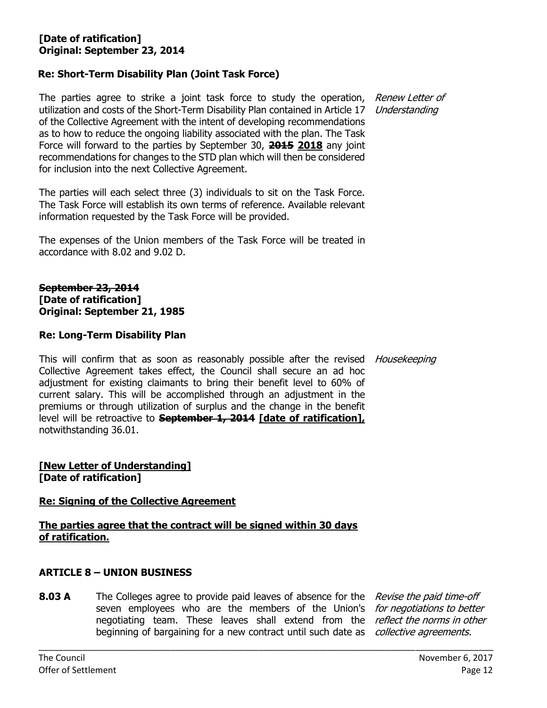### **Re: Short-Term Disability Plan (Joint Task Force)**

The parties agree to strike a joint task force to study the operation, Renew Letter of utilization and costs of the Short-Term Disability Plan contained in Article 17 Understanding of the Collective Agreement with the intent of developing recommendations as to how to reduce the ongoing liability associated with the plan. The Task Force will forward to the parties by September 30, **2015 2018** any joint recommendations for changes to the STD plan which will then be considered for inclusion into the next Collective Agreement.

The parties will each select three (3) individuals to sit on the Task Force. The Task Force will establish its own terms of reference. Available relevant information requested by the Task Force will be provided.

The expenses of the Union members of the Task Force will be treated in accordance with 8.02 and 9.02 D.

#### **September 23, 2014 [Date of ratification] Original: September 21, 1985**

#### **Re: Long-Term Disability Plan**

This will confirm that as soon as reasonably possible after the revised *Housekeeping* Collective Agreement takes effect, the Council shall secure an ad hoc adjustment for existing claimants to bring their benefit level to 60% of current salary. This will be accomplished through an adjustment in the premiums or through utilization of surplus and the change in the benefit level will be retroactive to **September 1, 2014 [date of ratification],** notwithstanding 36.01.

#### **[New Letter of Understanding] [Date of ratification]**

#### **Re: Signing of the Collective Agreement**

**The parties agree that the contract will be signed within 30 days of ratification.**

#### **ARTICLE 8 – UNION BUSINESS**

**8.03 A** The Colleges agree to provide paid leaves of absence for the Revise the paid time-off seven employees who are the members of the Union's *for negotiations to better* negotiating team. These leaves shall extend from the *reflect the norms in other* beginning of bargaining for a new contract until such date as *collective agreements.*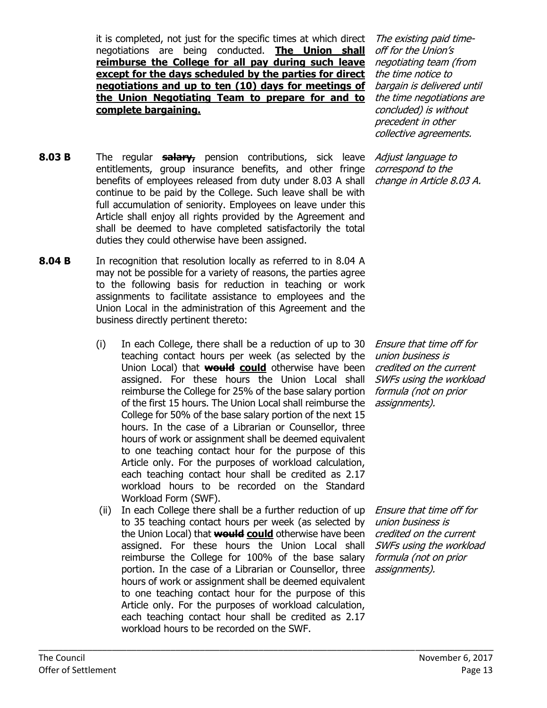it is completed, not just for the specific times at which direct negotiations are being conducted. **The Union shall reimburse the College for all pay during such leave except for the days scheduled by the parties for direct negotiations and up to ten (10) days for meetings of the Union Negotiating Team to prepare for and to complete bargaining.**

- **8.03 B** The regular **salary,** pension contributions, sick leave entitlements, group insurance benefits, and other fringe benefits of employees released from duty under 8.03 A shall continue to be paid by the College. Such leave shall be with full accumulation of seniority. Employees on leave under this Article shall enjoy all rights provided by the Agreement and shall be deemed to have completed satisfactorily the total duties they could otherwise have been assigned.
- **8.04 B** In recognition that resolution locally as referred to in 8.04 A may not be possible for a variety of reasons, the parties agree to the following basis for reduction in teaching or work assignments to facilitate assistance to employees and the Union Local in the administration of this Agreement and the business directly pertinent thereto:
	- (i) In each College, there shall be a reduction of up to 30 teaching contact hours per week (as selected by the Union Local) that **would could** otherwise have been assigned. For these hours the Union Local shall reimburse the College for 25% of the base salary portion of the first 15 hours. The Union Local shall reimburse the College for 50% of the base salary portion of the next 15 hours. In the case of a Librarian or Counsellor, three hours of work or assignment shall be deemed equivalent to one teaching contact hour for the purpose of this Article only. For the purposes of workload calculation, each teaching contact hour shall be credited as 2.17 workload hours to be recorded on the Standard Workload Form (SWF).
	- (ii) In each College there shall be a further reduction of up to 35 teaching contact hours per week (as selected by the Union Local) that **would could** otherwise have been assigned. For these hours the Union Local shall reimburse the College for 100% of the base salary portion. In the case of a Librarian or Counsellor, three hours of work or assignment shall be deemed equivalent to one teaching contact hour for the purpose of this Article only. For the purposes of workload calculation, each teaching contact hour shall be credited as 2.17 workload hours to be recorded on the SWF.

\_\_\_\_\_\_\_\_\_\_\_\_\_\_\_\_\_\_\_\_\_\_\_\_\_\_\_\_\_\_\_\_\_\_\_\_\_\_\_\_\_\_\_\_\_\_\_\_\_\_\_\_\_\_\_\_\_\_\_\_\_\_\_\_\_\_\_\_\_\_\_\_\_\_\_\_\_\_\_\_\_\_\_\_\_\_\_\_\_\_\_\_\_

The existing paid timeoff for the Union's negotiating team (from the time notice to bargain is delivered until the time negotiations are concluded) is without precedent in other collective agreements.

Adjust language to correspond to the change in Article 8.03 A.

Ensure that time off for union business is credited on the current SWFs using the workload formula (not on prior assignments).

Ensure that time off for union business is credited on the current SWFs using the workload formula (not on prior assignments).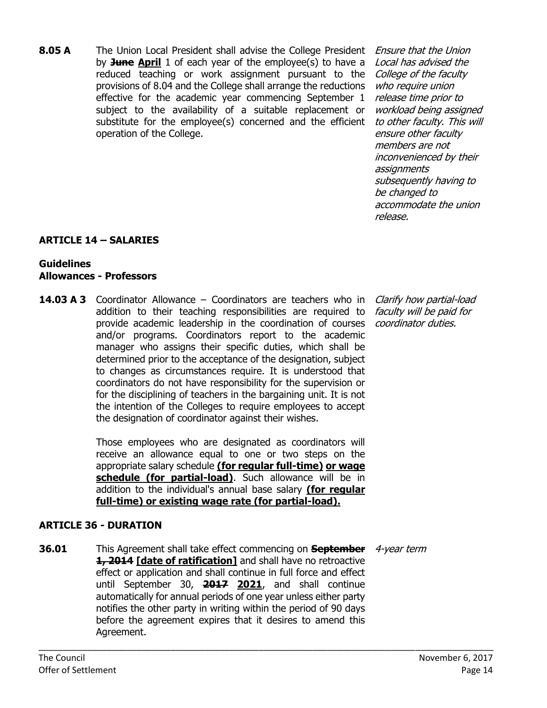**8.05 A** The Union Local President shall advise the College President by **June April** 1 of each year of the employee(s) to have a reduced teaching or work assignment pursuant to the provisions of 8.04 and the College shall arrange the reductions effective for the academic year commencing September 1 subject to the availability of a suitable replacement or substitute for the employee(s) concerned and the efficient operation of the College.

Ensure that the Union Local has advised the College of the faculty who require union release time prior to workload being assigned to other faculty. This will ensure other faculty members are not inconvenienced by their assignments subsequently having to be changed to accommodate the union release.

# **ARTICLE 14 – SALARIES**

### **Guidelines Allowances - Professors**

**14.03 A 3** Coordinator Allowance – Coordinators are teachers who in *Clarify how partial-load* addition to their teaching responsibilities are required to *faculty will be paid for* provide academic leadership in the coordination of courses *coordinator duties.* and/or programs. Coordinators report to the academic manager who assigns their specific duties, which shall be determined prior to the acceptance of the designation, subject to changes as circumstances require. It is understood that coordinators do not have responsibility for the supervision or for the disciplining of teachers in the bargaining unit. It is not the intention of the Colleges to require employees to accept the designation of coordinator against their wishes.

> Those employees who are designated as coordinators will receive an allowance equal to one or two steps on the appropriate salary schedule **(for regular full-time) or wage**  schedule (for partial-load). Such allowance will be in addition to the individual's annual base salary **(for regular full-time) or existing wage rate (for partial-load).**

### **ARTICLE 36 - DURATION**

**36.01** This Agreement shall take effect commencing on **September**  4-year term**1, 2014 [date of ratification]** and shall have no retroactive effect or application and shall continue in full force and effect until September 30, **2017 2021**, and shall continue automatically for annual periods of one year unless either party notifies the other party in writing within the period of 90 days before the agreement expires that it desires to amend this Agreement.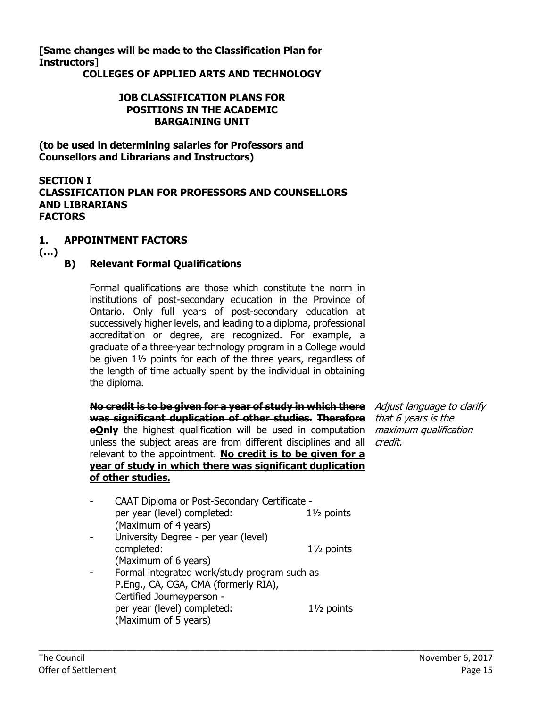**[Same changes will be made to the Classification Plan for Instructors]**

**COLLEGES OF APPLIED ARTS AND TECHNOLOGY**

#### **JOB CLASSIFICATION PLANS FOR POSITIONS IN THE ACADEMIC BARGAINING UNIT**

**(to be used in determining salaries for Professors and Counsellors and Librarians and Instructors)**

#### **SECTION I CLASSIFICATION PLAN FOR PROFESSORS AND COUNSELLORS AND LIBRARIANS FACTORS**

#### **1. APPOINTMENT FACTORS**

**(…)**

#### **B) Relevant Formal Qualifications**

Formal qualifications are those which constitute the norm in institutions of post-secondary education in the Province of Ontario. Only full years of post-secondary education at successively higher levels, and leading to a diploma, professional accreditation or degree, are recognized. For example, a graduate of a three-year technology program in a College would be given 1½ points for each of the three years, regardless of the length of time actually spent by the individual in obtaining the diploma.

**No credit is to be given for a year of study in which there**  Adjust language to clarify **was significant duplication of other studies. Therefore**  that 6 years is the **eOnly** the highest qualification will be used in computation *maximum qualification* unless the subject areas are from different disciplines and all *credit.* relevant to the appointment. **No credit is to be given for a year of study in which there was significant duplication of other studies.**

| CAAT Diploma or Post-Secondary Certificate - |                       |
|----------------------------------------------|-----------------------|
| per year (level) completed:                  | $1\frac{1}{2}$ points |
| (Maximum of 4 years)                         |                       |
| University Degree - per year (level)         |                       |
| completed:                                   | $1\frac{1}{2}$ points |
| (Maximum of 6 years)                         |                       |
| Formal integrated work/study program such as |                       |
| P.Eng., CA, CGA, CMA (formerly RIA),         |                       |
| Certified Journeyperson -                    |                       |
| per year (level) completed:                  | $1\frac{1}{2}$ points |
| (Maximum of 5 years)                         |                       |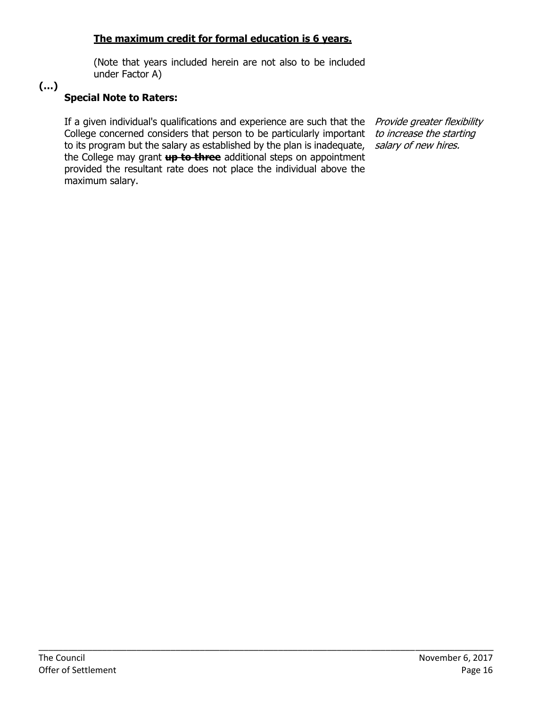### **The maximum credit for formal education is 6 years.**

(Note that years included herein are not also to be included under Factor A)

# **(…)**

### **Special Note to Raters:**

If a given individual's qualifications and experience are such that the *Provide greater flexibility* College concerned considers that person to be particularly important *to increase the starting* to its program but the salary as established by the plan is inadequate, the College may grant **up to three** additional steps on appointment provided the resultant rate does not place the individual above the maximum salary.

salary of new hires.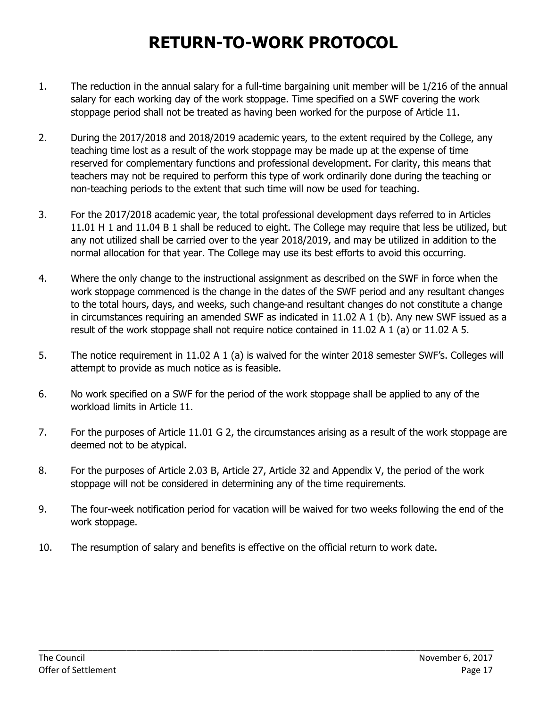# **RETURN-TO-WORK PROTOCOL**

- 1. The reduction in the annual salary for a full-time bargaining unit member will be 1/216 of the annual salary for each working day of the work stoppage. Time specified on a SWF covering the work stoppage period shall not be treated as having been worked for the purpose of Article 11.
- 2. During the 2017/2018 and 2018/2019 academic years, to the extent required by the College, any teaching time lost as a result of the work stoppage may be made up at the expense of time reserved for complementary functions and professional development. For clarity, this means that teachers may not be required to perform this type of work ordinarily done during the teaching or non-teaching periods to the extent that such time will now be used for teaching.
- 3. For the 2017/2018 academic year, the total professional development days referred to in Articles 11.01 H 1 and 11.04 B 1 shall be reduced to eight. The College may require that less be utilized, but any not utilized shall be carried over to the year 2018/2019, and may be utilized in addition to the normal allocation for that year. The College may use its best efforts to avoid this occurring.
- 4. Where the only change to the instructional assignment as described on the SWF in force when the work stoppage commenced is the change in the dates of the SWF period and any resultant changes to the total hours, days, and weeks, such change and resultant changes do not constitute a change in circumstances requiring an amended SWF as indicated in 11.02 A 1 (b). Any new SWF issued as a result of the work stoppage shall not require notice contained in 11.02 A 1 (a) or 11.02 A 5.
- 5. The notice requirement in 11.02 A 1 (a) is waived for the winter 2018 semester SWF's. Colleges will attempt to provide as much notice as is feasible.
- 6. No work specified on a SWF for the period of the work stoppage shall be applied to any of the workload limits in Article 11.
- 7. For the purposes of Article 11.01 G 2, the circumstances arising as a result of the work stoppage are deemed not to be atypical.
- 8. For the purposes of Article 2.03 B, Article 27, Article 32 and Appendix V, the period of the work stoppage will not be considered in determining any of the time requirements.
- 9. The four-week notification period for vacation will be waived for two weeks following the end of the work stoppage.

\_\_\_\_\_\_\_\_\_\_\_\_\_\_\_\_\_\_\_\_\_\_\_\_\_\_\_\_\_\_\_\_\_\_\_\_\_\_\_\_\_\_\_\_\_\_\_\_\_\_\_\_\_\_\_\_\_\_\_\_\_\_\_\_\_\_\_\_\_\_\_\_\_\_\_\_\_\_\_\_\_\_\_\_\_\_\_\_\_\_\_\_\_

10. The resumption of salary and benefits is effective on the official return to work date.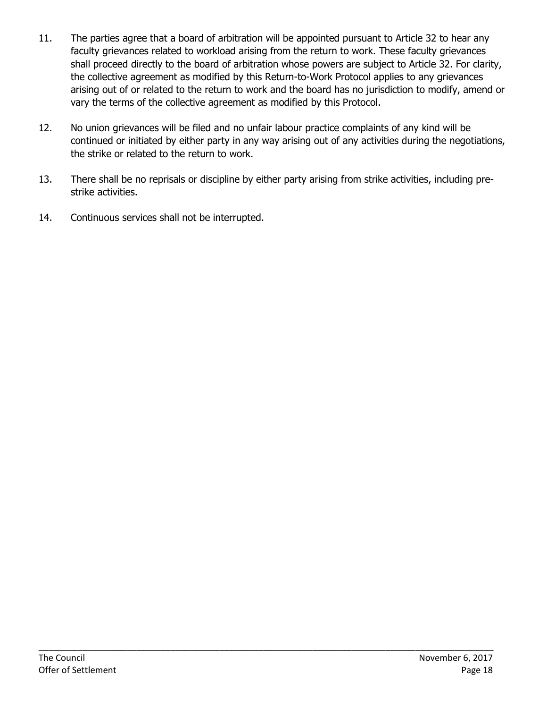- 11. The parties agree that a board of arbitration will be appointed pursuant to Article 32 to hear any faculty grievances related to workload arising from the return to work. These faculty grievances shall proceed directly to the board of arbitration whose powers are subject to Article 32. For clarity, the collective agreement as modified by this Return-to-Work Protocol applies to any grievances arising out of or related to the return to work and the board has no jurisdiction to modify, amend or vary the terms of the collective agreement as modified by this Protocol.
- 12. No union grievances will be filed and no unfair labour practice complaints of any kind will be continued or initiated by either party in any way arising out of any activities during the negotiations, the strike or related to the return to work.
- 13. There shall be no reprisals or discipline by either party arising from strike activities, including prestrike activities.
- 14. Continuous services shall not be interrupted.